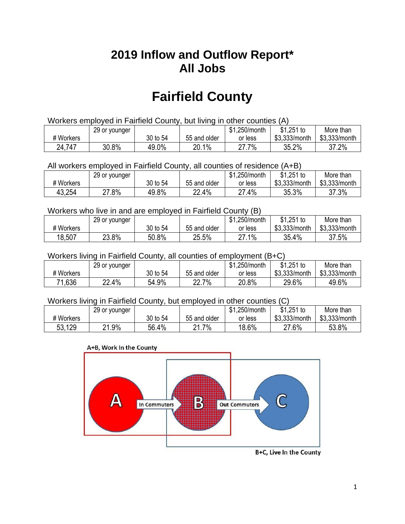## **2019 Inflow and Outflow Report\* All Jobs**

# **Fairfield County**

| Workers employed in Fairfield County, but living in other counties (A) |                                                            |          |              |         |               |               |  |  |  |
|------------------------------------------------------------------------|------------------------------------------------------------|----------|--------------|---------|---------------|---------------|--|--|--|
|                                                                        | $$1,251$ to<br>\$1.250/month<br>More than<br>29 or younger |          |              |         |               |               |  |  |  |
| # Workers                                                              |                                                            | 30 to 54 | 55 and older | or less | \$3.333/month | \$3,333/month |  |  |  |
| 24,747                                                                 | 30.8%                                                      | 49.0%    | 20.1%        | 27.7%   | 35.2%         | 37.2%         |  |  |  |

All workers employed in Fairfield County, all counties of residence (A+B)

|           | 29 or younger |          |              | \$1,250/month     | $$1,251$ to   | More than     |
|-----------|---------------|----------|--------------|-------------------|---------------|---------------|
| # Workers |               | 30 to 54 | 55 and older | or less           | \$3,333/month | \$3,333/month |
| 43,254    | 27.8%         | 49.8%    | 22.4%        | $.4\%$<br>דר<br>ے | 35.3%         | 37.3%         |

#### Workers who live in and are employed in Fairfield County (B)

|           | 29 or younger |          |              | \$1,250/month   | $$1,251$ to   | More than     |
|-----------|---------------|----------|--------------|-----------------|---------------|---------------|
| # Workers |               | 30 to 54 | 55 and older | or less         | \$3,333/month | \$3,333/month |
| 18,507    | 23.8%         | 50.8%    | 25.5%        | $1\%$<br>ົ<br>۷ | 35.4%         | 37.5%         |

#### Workers living in Fairfield County, all counties of employment (B+C)

|           | 29 or younger |          |              | \$1,250/month | \$1,251 to    | More than     |
|-----------|---------------|----------|--------------|---------------|---------------|---------------|
| # Workers |               | 30 to 54 | 55 and older | or less       | \$3,333/month | \$3,333/month |
| 71,636    | 22.4%         | 54.9%    | 22.7%        | 20.8%         | 29.6%         | 49.6%         |

#### Workers living in Fairfield County, but employed in other counties (C)

|           | 29 or younger          |          |              | \$1,250/month | $$1,251$ to   | More than     |
|-----------|------------------------|----------|--------------|---------------|---------------|---------------|
| # Workers |                        | 30 to 54 | 55 and older | or less       | \$3,333/month | \$3,333/month |
| 53,129    | .9%<br>ດ 4<br><u>_</u> | 56.4%    | 7%<br>ດ 4    | 18.6%         | 27.6%         | 53.8%         |

#### A+B, Work In the County



B+C, Live In the County